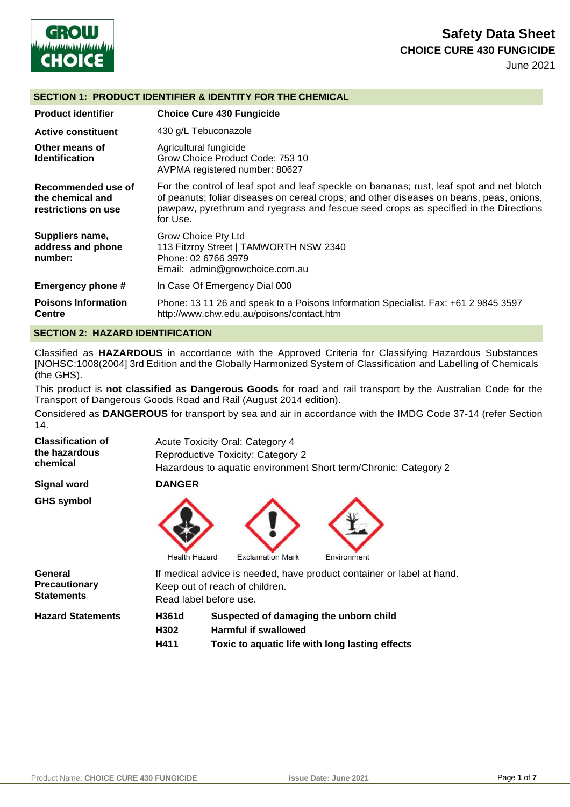

# **Safety Data Sheet CHOICE CURE 430 FUNGICIDE**

June 2021

#### **SECTION 1: PRODUCT IDENTIFIER & IDENTITY FOR THE CHEMICAL**

| <b>Product identifier</b>                                     | <b>Choice Cure 430 Fungicide</b>                                                                                                                                                                                                                                                       |
|---------------------------------------------------------------|----------------------------------------------------------------------------------------------------------------------------------------------------------------------------------------------------------------------------------------------------------------------------------------|
| <b>Active constituent</b>                                     | 430 g/L Tebuconazole                                                                                                                                                                                                                                                                   |
| Other means of<br><b>Identification</b>                       | Agricultural fungicide<br>Grow Choice Product Code: 753 10<br>AVPMA registered number: 80627                                                                                                                                                                                           |
| Recommended use of<br>the chemical and<br>restrictions on use | For the control of leaf spot and leaf speckle on bananas; rust, leaf spot and net blotch<br>of peanuts; foliar diseases on cereal crops; and other diseases on beans, peas, onions,<br>pawpaw, pyrethrum and ryegrass and fescue seed crops as specified in the Directions<br>for Use. |
| Suppliers name,<br>address and phone<br>number:               | Grow Choice Pty Ltd<br>113 Fitzroy Street   TAMWORTH NSW 2340<br>Phone: 02 6766 3979<br>Email: admin@growchoice.com.au                                                                                                                                                                 |
| Emergency phone #                                             | In Case Of Emergency Dial 000                                                                                                                                                                                                                                                          |
| <b>Poisons Information</b><br><b>Centre</b>                   | Phone: 13 11 26 and speak to a Poisons Information Specialist. Fax: +61 2 9845 3597<br>http://www.chw.edu.au/poisons/contact.htm                                                                                                                                                       |

#### **SECTION 2: HAZARD IDENTIFICATION**

Classified as **HAZARDOUS** in accordance with the Approved Criteria for Classifying Hazardous Substances [NOHSC:1008(2004] 3rd Edition and the Globally Harmonized System of Classification and Labelling of Chemicals (the GHS).

This product is **not classified as Dangerous Goods** for road and rail transport by the Australian Code for the Transport of Dangerous Goods Road and Rail (August 2014 edition).

Considered as **DANGEROUS** for transport by sea and air in accordance with the IMDG Code 37-14 (refer Section 14.

| <b>Classification of</b><br>the hazardous            |                        | <b>Acute Toxicity Oral: Category 4</b> |                                                                       |
|------------------------------------------------------|------------------------|----------------------------------------|-----------------------------------------------------------------------|
| chemical                                             |                        | Reproductive Toxicity: Category 2      | Hazardous to aquatic environment Short term/Chronic: Category 2       |
| <b>Signal word</b>                                   | <b>DANGER</b>          |                                        |                                                                       |
| <b>GHS symbol</b>                                    | <b>Health Hazard</b>   | <b>Exclamation Mark</b>                | Environment                                                           |
| General<br><b>Precautionary</b><br><b>Statements</b> | Read label before use. | Keep out of reach of children.         | If medical advice is needed, have product container or label at hand. |
| <b>Hazard Statements</b>                             | H361d<br>H302          | <b>Harmful if swallowed</b>            | Suspected of damaging the unborn child                                |
|                                                      | H411                   |                                        | Toxic to aquatic life with long lasting effects                       |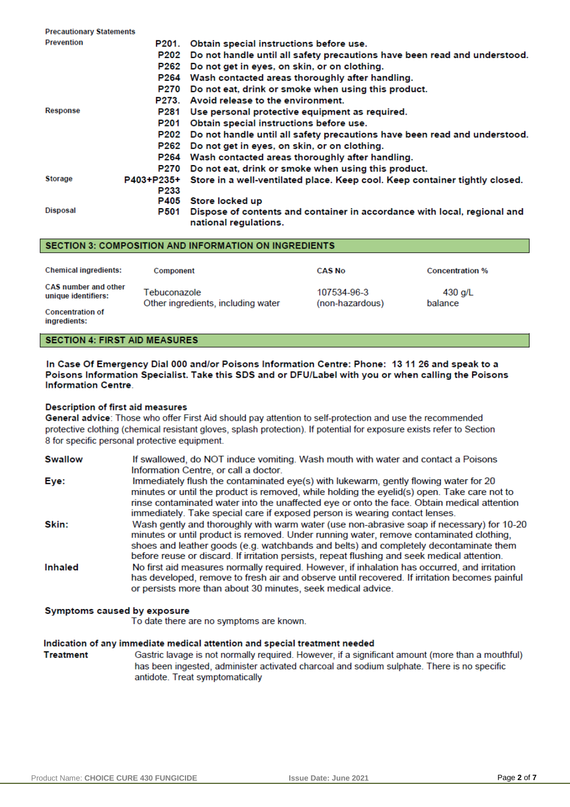| <b>Precautionary Statements</b> |             |                                                                                                   |
|---------------------------------|-------------|---------------------------------------------------------------------------------------------------|
| <b>Prevention</b>               | P201.       | Obtain special instructions before use.                                                           |
|                                 | P202        | Do not handle until all safety precautions have been read and understood.                         |
|                                 | P262        | Do not get in eyes, on skin, or on clothing.                                                      |
|                                 | P264        | Wash contacted areas thoroughly after handling.                                                   |
|                                 | <b>P270</b> | Do not eat, drink or smoke when using this product.                                               |
|                                 | P273.       | Avoid release to the environment.                                                                 |
| Response                        | P281        | Use personal protective equipment as required.                                                    |
|                                 | P201        | Obtain special instructions before use.                                                           |
|                                 | P202        | Do not handle until all safety precautions have been read and understood.                         |
|                                 | P262        | Do not get in eyes, on skin, or on clothing.                                                      |
|                                 | P264        | Wash contacted areas thoroughly after handling.                                                   |
|                                 | <b>P270</b> | Do not eat, drink or smoke when using this product.                                               |
| <b>Storage</b>                  | P403+P235+  | Store in a well-ventilated place. Keep cool. Keep container tightly closed.                       |
|                                 | P233        |                                                                                                   |
|                                 | P405        | Store locked up                                                                                   |
| <b>Disposal</b>                 | P501        | Dispose of contents and container in accordance with local, regional and<br>national regulations. |

#### SECTION 3: COMPOSITION AND INFORMATION ON INGREDIENTS

| <b>Chemical ingredients:</b>                       | Component                                          | <b>CAS No</b>                  | <b>Concentration %</b> |
|----------------------------------------------------|----------------------------------------------------|--------------------------------|------------------------|
| <b>CAS number and other</b><br>unique identifiers: | Tebuconazole<br>Other ingredients, including water | 107534-96-3<br>(non-hazardous) | 430 g/L<br>balance     |
| <b>Concentration of</b><br>ingredients:            |                                                    |                                |                        |

#### **SECTION 4: FIRST AID MEASURES**

In Case Of Emergency Dial 000 and/or Poisons Information Centre: Phone: 13 11 26 and speak to a Poisons Information Specialist. Take this SDS and or DFU/Label with you or when calling the Poisons **Information Centre.** 

#### **Description of first aid measures**

General advice: Those who offer First Aid should pay attention to self-protection and use the recommended protective clothing (chemical resistant gloves, splash protection). If potential for exposure exists refer to Section 8 for specific personal protective equipment.

| <b>Swallow</b> | If swallowed, do NOT induce vomiting. Wash mouth with water and contact a Poisons<br>Information Centre, or call a doctor.                                                                                                                                                                                                                                                    |
|----------------|-------------------------------------------------------------------------------------------------------------------------------------------------------------------------------------------------------------------------------------------------------------------------------------------------------------------------------------------------------------------------------|
| Eye:           | Immediately flush the contaminated eye(s) with lukewarm, gently flowing water for 20<br>minutes or until the product is removed, while holding the eyelid(s) open. Take care not to<br>rinse contaminated water into the unaffected eye or onto the face. Obtain medical attention<br>immediately. Take special care if exposed person is wearing contact lenses.             |
| Skin:          | Wash gently and thoroughly with warm water (use non-abrasive soap if necessary) for 10-20<br>minutes or until product is removed. Under running water, remove contaminated clothing,<br>shoes and leather goods (e.g. watchbands and belts) and completely decontaminate them<br>before reuse or discard. If irritation persists, repeat flushing and seek medical attention. |
| Inhaled        | No first aid measures normally required. However, if inhalation has occurred, and irritation<br>has developed, remove to fresh air and observe until recovered. If irritation becomes painful<br>or persists more than about 30 minutes, seek medical advice.                                                                                                                 |

#### Symptoms caused by exposure

To date there are no symptoms are known.

#### Indication of any immediate medical attention and special treatment needed

**Treatment** Gastric lavage is not normally required. However, if a significant amount (more than a mouthful) has been ingested, administer activated charcoal and sodium sulphate. There is no specific antidote. Treat symptomatically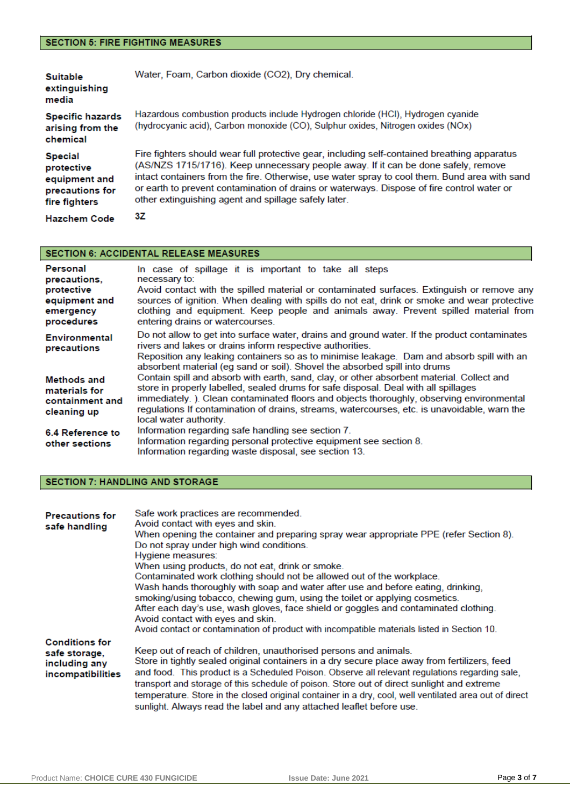### **SECTION 5: FIRE FIGHTING MEASURES**

| <b>Suitable</b><br>extinguishing<br>media                                         | Water, Foam, Carbon dioxide (CO2), Dry chemical.                                                                                                                                                                                                                                                                                                                                                                                          |
|-----------------------------------------------------------------------------------|-------------------------------------------------------------------------------------------------------------------------------------------------------------------------------------------------------------------------------------------------------------------------------------------------------------------------------------------------------------------------------------------------------------------------------------------|
| <b>Specific hazards</b><br>arising from the<br>chemical                           | Hazardous combustion products include Hydrogen chloride (HCl), Hydrogen cyanide<br>(hydrocyanic acid), Carbon monoxide (CO), Sulphur oxides, Nitrogen oxides (NOx)                                                                                                                                                                                                                                                                        |
| <b>Special</b><br>protective<br>equipment and<br>precautions for<br>fire fighters | Fire fighters should wear full protective gear, including self-contained breathing apparatus<br>(AS/NZS 1715/1716). Keep unnecessary people away. If it can be done safely, remove<br>intact containers from the fire. Otherwise, use water spray to cool them. Bund area with sand<br>or earth to prevent contamination of drains or waterways. Dispose of fire control water or<br>other extinguishing agent and spillage safely later. |
| <b>Hazchem Code</b>                                                               | 3Ζ                                                                                                                                                                                                                                                                                                                                                                                                                                        |

### SECTION 6: ACCIDENTAL RELEASE MEASURES

| Personal<br>precautions.<br>protective<br>equipment and<br>emergency<br>procedures | In case of spillage it is important to take all steps<br>necessary to:<br>Avoid contact with the spilled material or contaminated surfaces. Extinguish or remove any<br>sources of ignition. When dealing with spills do not eat, drink or smoke and wear protective<br>clothing and equipment. Keep people and animals away. Prevent spilled material from<br>entering drains or watercourses.        |
|------------------------------------------------------------------------------------|--------------------------------------------------------------------------------------------------------------------------------------------------------------------------------------------------------------------------------------------------------------------------------------------------------------------------------------------------------------------------------------------------------|
| Environmental<br>precautions                                                       | Do not allow to get into surface water, drains and ground water. If the product contaminates<br>rivers and lakes or drains inform respective authorities.<br>Reposition any leaking containers so as to minimise leakage. Dam and absorb spill with an<br>absorbent material (eg sand or soil). Shovel the absorbed spill into drums                                                                   |
| Methods and<br>materials for<br>containment and<br>cleaning up                     | Contain spill and absorb with earth, sand, clay, or other absorbent material. Collect and<br>store in properly labelled, sealed drums for safe disposal. Deal with all spillages<br>immediately.). Clean contaminated floors and objects thoroughly, observing environmental<br>regulations If contamination of drains, streams, watercourses, etc. is unavoidable, warn the<br>local water authority. |
| 6.4 Reference to<br>other sections                                                 | Information regarding safe handling see section 7.<br>Information regarding personal protective equipment see section 8.<br>Information regarding waste disposal, see section 13.                                                                                                                                                                                                                      |

### **SECTION 7: HANDLING AND STORAGE**

| <b>Precautions for</b><br>safe handling                                      | Safe work practices are recommended.<br>Avoid contact with eyes and skin.<br>When opening the container and preparing spray wear appropriate PPE (refer Section 8).<br>Do not spray under high wind conditions.<br>Hygiene measures:<br>When using products, do not eat, drink or smoke.<br>Contaminated work clothing should not be allowed out of the workplace.<br>Wash hands thoroughly with soap and water after use and before eating, drinking,                                                                                              |
|------------------------------------------------------------------------------|-----------------------------------------------------------------------------------------------------------------------------------------------------------------------------------------------------------------------------------------------------------------------------------------------------------------------------------------------------------------------------------------------------------------------------------------------------------------------------------------------------------------------------------------------------|
|                                                                              | smoking/using tobacco, chewing gum, using the toilet or applying cosmetics.<br>After each day's use, wash gloves, face shield or goggles and contaminated clothing.<br>Avoid contact with eyes and skin.<br>Avoid contact or contamination of product with incompatible materials listed in Section 10.                                                                                                                                                                                                                                             |
| <b>Conditions for</b><br>safe storage,<br>including any<br>incompatibilities | Keep out of reach of children, unauthorised persons and animals.<br>Store in tightly sealed original containers in a dry secure place away from fertilizers, feed<br>and food. This product is a Scheduled Poison. Observe all relevant regulations regarding sale,<br>transport and storage of this schedule of poison. Store out of direct sunlight and extreme<br>temperature. Store in the closed original container in a dry, cool, well ventilated area out of direct<br>sunlight. Always read the label and any attached leaflet before use. |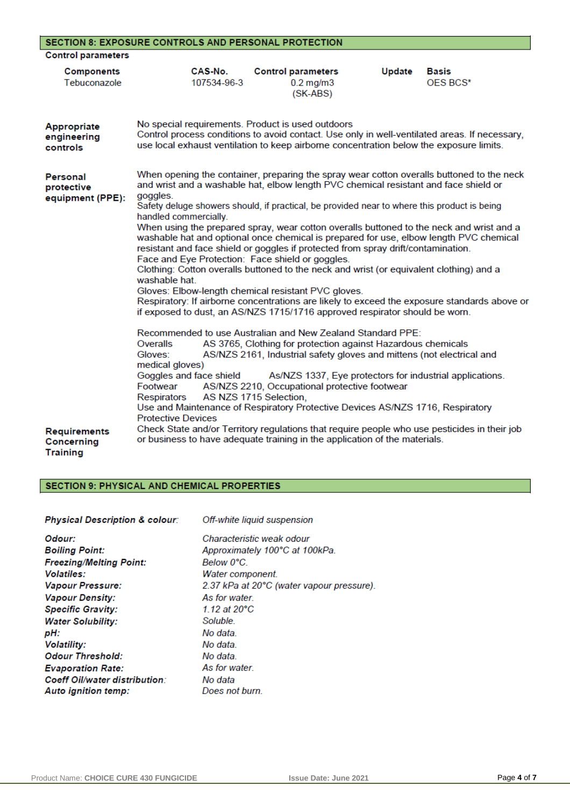|                                               | <b>SECTION 8: EXPOSURE CONTROLS AND PERSONAL PROTECTION</b>                                                                                                                                                                                                                                                                                                                                                                                                                                                                                                                                                                                                                                                                                                                                                                                                                                                                                                                                           |                                                                                                                                                                                                                                                                              |        |                          |
|-----------------------------------------------|-------------------------------------------------------------------------------------------------------------------------------------------------------------------------------------------------------------------------------------------------------------------------------------------------------------------------------------------------------------------------------------------------------------------------------------------------------------------------------------------------------------------------------------------------------------------------------------------------------------------------------------------------------------------------------------------------------------------------------------------------------------------------------------------------------------------------------------------------------------------------------------------------------------------------------------------------------------------------------------------------------|------------------------------------------------------------------------------------------------------------------------------------------------------------------------------------------------------------------------------------------------------------------------------|--------|--------------------------|
| <b>Control parameters</b>                     |                                                                                                                                                                                                                                                                                                                                                                                                                                                                                                                                                                                                                                                                                                                                                                                                                                                                                                                                                                                                       |                                                                                                                                                                                                                                                                              |        |                          |
| <b>Components</b><br>Tebuconazole             | CAS-No.<br>107534-96-3                                                                                                                                                                                                                                                                                                                                                                                                                                                                                                                                                                                                                                                                                                                                                                                                                                                                                                                                                                                | <b>Control parameters</b><br>$0.2$ mg/m $3$<br>(SK-ABS)                                                                                                                                                                                                                      | Update | <b>Basis</b><br>OES BCS* |
| Appropriate<br>engineering<br>controls        | No special requirements. Product is used outdoors<br>Control process conditions to avoid contact. Use only in well-ventilated areas. If necessary,<br>use local exhaust ventilation to keep airborne concentration below the exposure limits.                                                                                                                                                                                                                                                                                                                                                                                                                                                                                                                                                                                                                                                                                                                                                         |                                                                                                                                                                                                                                                                              |        |                          |
| Personal<br>protective<br>equipment (PPE):    | When opening the container, preparing the spray wear cotton overalls buttoned to the neck<br>and wrist and a washable hat, elbow length PVC chemical resistant and face shield or<br>goggles.<br>Safety deluge showers should, if practical, be provided near to where this product is being<br>handled commercially.<br>When using the prepared spray, wear cotton overalls buttoned to the neck and wrist and a<br>washable hat and optional once chemical is prepared for use, elbow length PVC chemical<br>resistant and face shield or goggles if protected from spray drift/contamination.<br>Face and Eye Protection: Face shield or goggles.<br>Clothing: Cotton overalls buttoned to the neck and wrist (or equivalent clothing) and a<br>washable hat<br>Gloves: Elbow-length chemical resistant PVC gloves.<br>Respiratory: If airborne concentrations are likely to exceed the exposure standards above or<br>if exposed to dust, an AS/NZS 1715/1716 approved respirator should be worn. |                                                                                                                                                                                                                                                                              |        |                          |
| Requirements<br>Concerning<br><b>Training</b> | Recommended to use Australian and New Zealand Standard PPE:<br>Overalls<br>Gloves:<br>medical gloves)<br>Goggles and face shield<br>Footwear<br>Respirators<br>Use and Maintenance of Respiratory Protective Devices AS/NZS 1716, Respiratory<br><b>Protective Devices</b><br>Check State and/or Territory regulations that require people who use pesticides in their job<br>or business to have adequate training in the application of the materials.                                                                                                                                                                                                                                                                                                                                                                                                                                                                                                                                              | AS 3765, Clothing for protection against Hazardous chemicals<br>AS/NZS 2161, Industrial safety gloves and mittens (not electrical and<br>As/NZS 1337, Eye protectors for industrial applications.<br>AS/NZS 2210, Occupational protective footwear<br>AS NZS 1715 Selection, |        |                          |

### SECTION 9: PHYSICAL AND CHEMICAL PROPERTIES

| <b>Physical Description &amp; colour:</b> | Off-white liquid suspension               |
|-------------------------------------------|-------------------------------------------|
| Odour:                                    | Characteristic weak odour                 |
| <b>Boiling Point:</b>                     | Approximately 100°C at 100kPa.            |
| <b>Freezing/Melting Point:</b>            | Below 0°C.                                |
| <b>Volatiles:</b>                         | Water component.                          |
| <b>Vapour Pressure:</b>                   | 2.37 kPa at 20°C (water vapour pressure). |
| <b>Vapour Density:</b>                    | As for water                              |
| <b>Specific Gravity:</b>                  | 1.12 at $20^{\circ}$ C                    |
| <b>Water Solubility:</b>                  | Soluble.                                  |
| pH:                                       | No data.                                  |
| <b>Volatility:</b>                        | No data.                                  |
| <b>Odour Threshold:</b>                   | No data.                                  |
| <b>Evaporation Rate:</b>                  | As for water                              |
| Coeff Oil/water distribution:             | No data                                   |
| Auto ignition temp:                       | Does not burn.                            |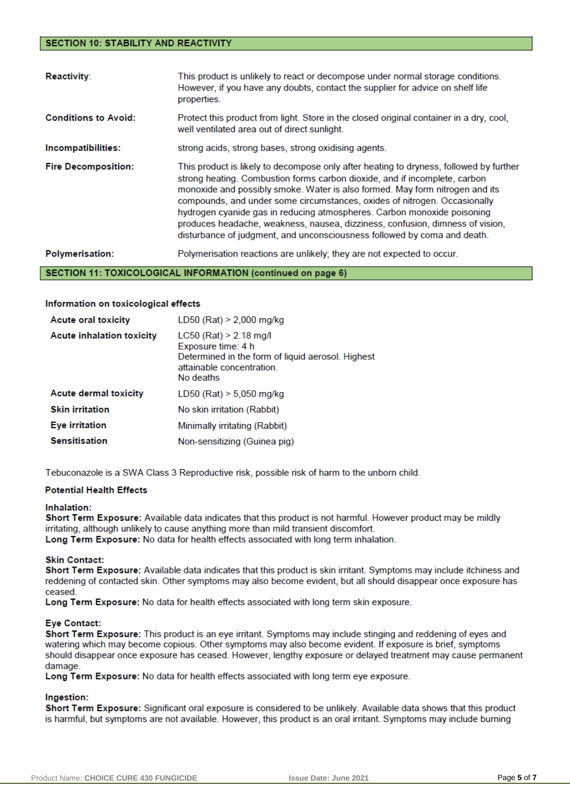#### **SECTION 10: STABILITY AND REACTIVITY**

| <b>Reactivity:</b>          | This product is unlikely to react or decompose under normal storage conditions.<br>However, if you have any doubts, contact the supplier for advice on shelf life<br>properties.                                                                                                                                                                                                                                                                                                                                                                                          |
|-----------------------------|---------------------------------------------------------------------------------------------------------------------------------------------------------------------------------------------------------------------------------------------------------------------------------------------------------------------------------------------------------------------------------------------------------------------------------------------------------------------------------------------------------------------------------------------------------------------------|
| <b>Conditions to Avoid:</b> | Protect this product from light. Store in the closed original container in a dry, cool,<br>well ventilated area out of direct sunlight.                                                                                                                                                                                                                                                                                                                                                                                                                                   |
| Incompatibilities:          | strong acids, strong bases, strong oxidising agents.                                                                                                                                                                                                                                                                                                                                                                                                                                                                                                                      |
| <b>Fire Decomposition:</b>  | This product is likely to decompose only after heating to dryness, followed by further<br>strong heating. Combustion forms carbon dioxide, and if incomplete, carbon<br>monoxide and possibly smoke. Water is also formed. May form nitrogen and its<br>compounds, and under some circumstances, oxides of nitrogen. Occasionally<br>hydrogen cyanide gas in reducing atmospheres. Carbon monoxide poisoning<br>produces headache, weakness, nausea, dizziness, confusion, dimness of vision,<br>disturbance of judgment, and unconsciousness followed by coma and death. |
| <b>Polymerisation:</b>      | Polymerisation reactions are unlikely; they are not expected to occur.                                                                                                                                                                                                                                                                                                                                                                                                                                                                                                    |

#### SECTION 11: TOXICOLOGICAL INFORMATION (continued on page 6)

#### Information on toxicological effects

| <b>Acute oral toxicity</b>       | $LD50$ (Rat) > 2,000 mg/kg                                                                                                                    |
|----------------------------------|-----------------------------------------------------------------------------------------------------------------------------------------------|
| <b>Acute inhalation toxicity</b> | $LC50$ (Rat) > 2.18 mg/l<br>Exposure time: 4 h<br>Determined in the form of liquid aerosol. Highest<br>attainable concentration.<br>No deaths |
| <b>Acute dermal toxicity</b>     | $LD50$ (Rat) $> 5,050$ mg/kg                                                                                                                  |
| <b>Skin irritation</b>           | No skin irritation (Rabbit)                                                                                                                   |
| Eye irritation                   | Minimally irritating (Rabbit)                                                                                                                 |
| <b>Sensitisation</b>             | Non-sensitizing (Guinea pig)                                                                                                                  |

Tebuconazole is a SWA Class 3 Reproductive risk, possible risk of harm to the unborn child.

#### **Potential Health Effects**

#### Inhalation:

Short Term Exposure: Available data indicates that this product is not harmful. However product may be mildly irritating, although unlikely to cause anything more than mild transient discomfort. Long Term Exposure: No data for health effects associated with long term inhalation.

#### **Skin Contact:**

Short Term Exposure: Available data indicates that this product is skin irritant. Symptoms may include itchiness and reddening of contacted skin. Other symptoms may also become evident, but all should disappear once exposure has ceased

Long Term Exposure: No data for health effects associated with long term skin exposure.

#### **Eye Contact:**

Short Term Exposure: This product is an eve irritant. Symptoms may include stinging and reddening of eyes and watering which may become copious. Other symptoms may also become evident. If exposure is brief, symptoms should disappear once exposure has ceased. However, lengthy exposure or delayed treatment may cause permanent damage

Long Term Exposure: No data for health effects associated with long term eye exposure.

#### Ingestion:

Short Term Exposure: Significant oral exposure is considered to be unlikely. Available data shows that this product is harmful, but symptoms are not available. However, this product is an oral irritant. Symptoms may include burning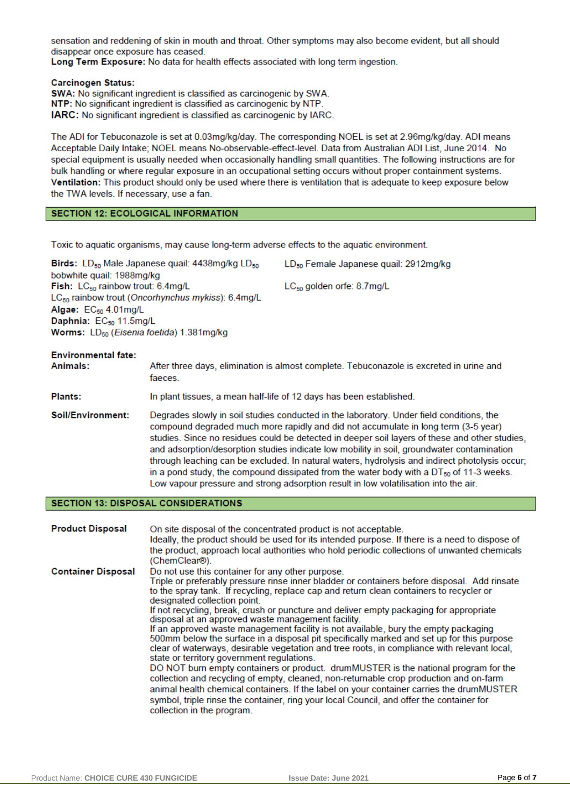sensation and reddening of skin in mouth and throat. Other symptoms may also become evident, but all should disappear once exposure has ceased.

Long Term Exposure: No data for health effects associated with long term ingestion.

#### **Carcinogen Status:**

SWA: No significant ingredient is classified as carcinogenic by SWA. NTP: No significant ingredient is classified as carcinogenic by NTP. **IARC:** No significant ingredient is classified as carcinogenic by IARC.

The ADI for Tebuconazole is set at 0.03mg/kg/day. The corresponding NOEL is set at 2.96mg/kg/day. ADI means Acceptable Daily Intake: NOEL means No-observable-effect-level. Data from Australian ADI List, June 2014. No special equipment is usually needed when occasionally handling small quantities. The following instructions are for bulk handling or where regular exposure in an occupational setting occurs without proper containment systems. Ventilation: This product should only be used where there is ventilation that is adequate to keep exposure below the TWA levels. If necessary, use a fan.

#### **SECTION 12: ECOLOGICAL INFORMATION**

Toxic to aquatic organisms, may cause long-term adverse effects to the aquatic environment.

| <b>Birds:</b> LD <sub>50</sub> Male Japanese quail: $4438mg/kg$ LD <sub>50</sub> | LD <sub>50</sub> Female Japanese quail: 2912mg/kg |
|----------------------------------------------------------------------------------|---------------------------------------------------|
| bobwhite quail: 1988mg/kg                                                        |                                                   |
| <b>Fish:</b> $LC_{50}$ rainbow trout: $6.4 \text{mg/L}$                          | $LC_{50}$ golden orfe: 8.7 mg/L                   |
| $LC_{50}$ rainbow trout (Oncorhynchus mykiss): 6.4mg/L                           |                                                   |
| Algae: $EC_{50}$ 4.01 mg/L                                                       |                                                   |
| Daphnia: $EC_{50}$ 11.5mg/L                                                      |                                                   |
| <b>Worms:</b> $LD_{50}$ ( <i>Eisenia foetida</i> ) 1.381mg/kg                    |                                                   |
|                                                                                  |                                                   |

## **Environmental fate:**

Animals: After three days, elimination is almost complete. Tebuconazole is excreted in urine and faeces.

- Plants: In plant tissues, a mean half-life of 12 days has been established.
- Soil/Environment: Degrades slowly in soil studies conducted in the laboratory. Under field conditions, the compound degraded much more rapidly and did not accumulate in long term (3-5 year) studies. Since no residues could be detected in deeper soil layers of these and other studies, and adsorption/desorption studies indicate low mobility in soil, groundwater contamination through leaching can be excluded. In natural waters, hydrolysis and indirect photolysis occur; in a pond study, the compound dissipated from the water body with a  $DT_{50}$  of 11-3 weeks. Low vapour pressure and strong adsorption result in low volatilisation into the air.

#### **SECTION 13: DISPOSAL CONSIDERATIONS**

| <b>Product Disposal</b>   | On site disposal of the concentrated product is not acceptable.<br>Ideally, the product should be used for its intended purpose. If there is a need to dispose of<br>the product, approach local authorities who hold periodic collections of unwanted chemicals<br>(ChemClear®).                                                                                                                                                                                                                                                                                                                                                                                                                                                                                                                                                                                                                                                                                                                                                                                                                                                                                   |
|---------------------------|---------------------------------------------------------------------------------------------------------------------------------------------------------------------------------------------------------------------------------------------------------------------------------------------------------------------------------------------------------------------------------------------------------------------------------------------------------------------------------------------------------------------------------------------------------------------------------------------------------------------------------------------------------------------------------------------------------------------------------------------------------------------------------------------------------------------------------------------------------------------------------------------------------------------------------------------------------------------------------------------------------------------------------------------------------------------------------------------------------------------------------------------------------------------|
| <b>Container Disposal</b> | Do not use this container for any other purpose.<br>Triple or preferably pressure rinse inner bladder or containers before disposal. Add rinsate<br>to the spray tank. If recycling, replace cap and return clean containers to recycler or<br>designated collection point.<br>If not recycling, break, crush or puncture and deliver empty packaging for appropriate<br>disposal at an approved waste management facility.<br>If an approved waste management facility is not available, bury the empty packaging<br>500mm below the surface in a disposal pit specifically marked and set up for this purpose<br>clear of waterways, desirable vegetation and tree roots, in compliance with relevant local,<br>state or territory government regulations.<br>DO NOT burn empty containers or product. drumMUSTER is the national program for the<br>collection and recycling of empty, cleaned, non-returnable crop production and on-farm<br>animal health chemical containers. If the label on your container carries the drumMUSTER<br>symbol, triple rinse the container, ring your local Council, and offer the container for<br>collection in the program. |